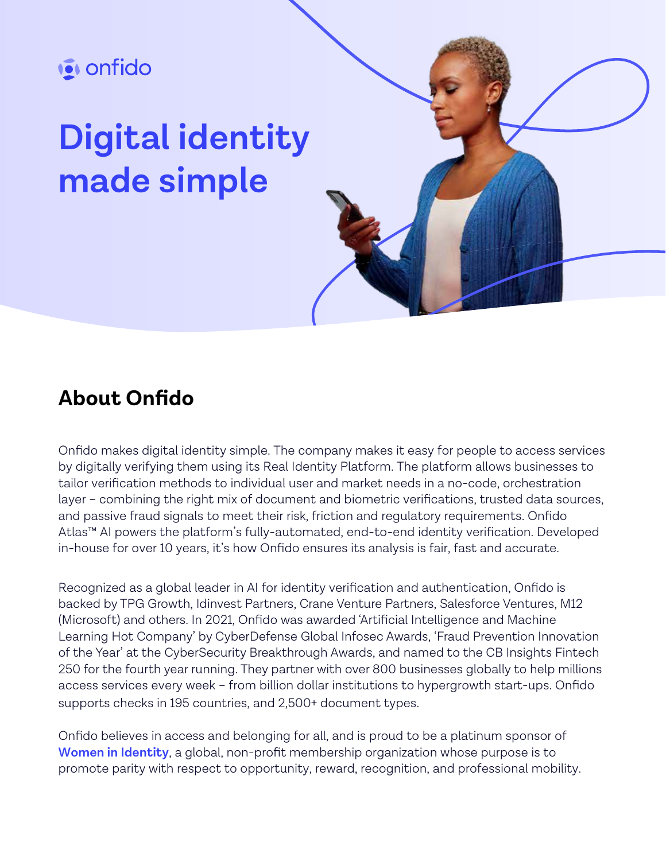

# **Digital identity made simple**



### **About Onfido**

Onfido makes digital identity simple. The company makes it easy for people to access services by digitally verifying them using its Real Identity Platform. The platform allows businesses to tailor verification methods to individual user and market needs in a no-code, orchestration layer – combining the right mix of document and biometric verifications, trusted data sources, and passive fraud signals to meet their risk, friction and regulatory requirements. Onfido Atlas™ AI powers the platform's fully-automated, end-to-end identity verification. Developed in-house for over 10 years, it's how Onfido ensures its analysis is fair, fast and accurate.

Recognized as a global leader in AI for identity verification and authentication, Onfido is backed by TPG Growth, Idinvest Partners, Crane Venture Partners, Salesforce Ventures, M12 (Microsoft) and others. In 2021, Onfido was awarded 'Artificial Intelligence and Machine Learning Hot Company' by CyberDefense Global Infosec Awards, 'Fraud Prevention Innovation of the Year' at the CyberSecurity Breakthrough Awards, and named to the CB Insights Fintech 250 for the fourth year running. They partner with over 800 businesses globally to help millions access services every week – from billion dollar institutions to hypergrowth start-ups. Onfido supports checks in 195 countries, and 2,500+ document types.

Onfido believes in access and belonging for all, and is proud to be a platinum sponsor of **[Women in Identity](https://www.womeninidentity.org/cpages/home)**, a global, non-profit membership organization whose purpose is to promote parity with respect to opportunity, reward, recognition, and professional mobility.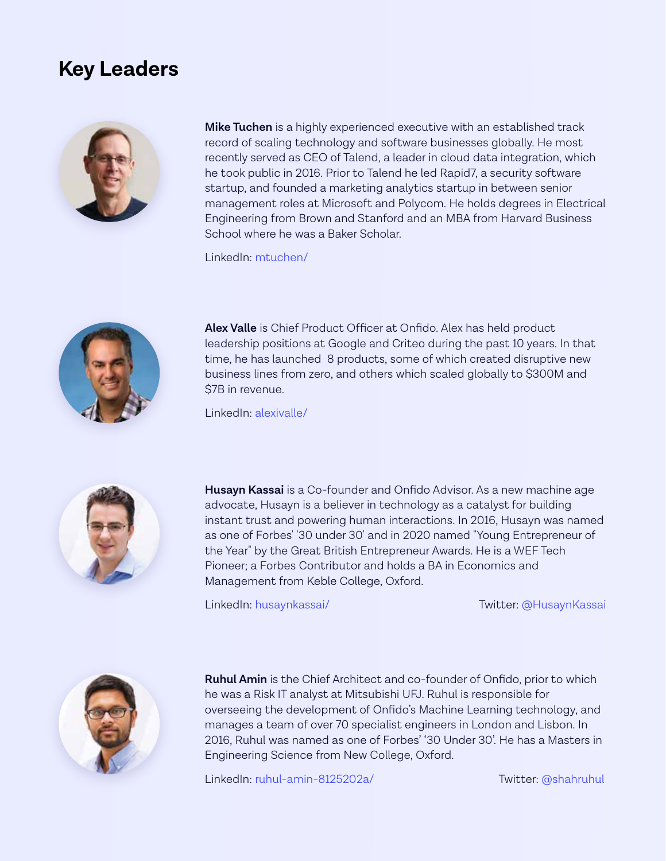#### **Key Leaders**



**Mike Tuchen** is a highly experienced executive with an established track record of scaling technology and software businesses globally. He most recently served as CEO of Talend, a leader in cloud data integration, which he took public in 2016. Prior to Talend he led Rapid7, a security software startup, and founded a marketing analytics startup in between senior management roles at Microsoft and Polycom. He holds degrees in Electrical Engineering from Brown and Stanford and an MBA from Harvard Business School where he was a Baker Scholar.

LinkedIn: [mtuchen/](https://www.linkedin.com/in/mtuchen)



**Alex Valle** is Chief Product Officer at Onfido. Alex has held product leadership positions at Google and Criteo during the past 10 years. In that time, he has launched 8 products, some of which created disruptive new business lines from zero, and others which scaled globally to \$300M and \$7B in revenue.

LinkedIn: [alexivalle/](https://www.linkedin.com/in/alexivalle)



**Husayn Kassai** is a Co-founder and Onfido Advisor. As a new machine age advocate, Husayn is a believer in technology as a catalyst for building instant trust and powering human interactions. In 2016, Husayn was named as one of Forbes' '30 under 30' and in 2020 named "Young Entrepreneur of the Year" by the Great British Entrepreneur Awards. He is a WEF Tech Pioneer; a Forbes Contributor and holds a BA in Economics and Management from Keble College, Oxford.

LinkedIn: [husaynkassai/](https://www.linkedin.com/in/husaynkassai) Twitter[: @HusaynKassai](https://twitter.com/HusaynKassai?s=20&t=zBG3ymEUFD9yRXoognMkSw)



**Ruhul Amin** is the Chief Architect and co-founder of Onfido, prior to which he was a Risk IT analyst at Mitsubishi UFJ. Ruhul is responsible for overseeing the development of Onfido's Machine Learning technology, and manages a team of over 70 specialist engineers in London and Lisbon. In 2016, Ruhul was named as one of Forbes' '30 Under 30'. He has a Masters in Engineering Science from New College, Oxford.

LinkedIn: [ruhul-amin-8125202a/](https://www.linkedin.com/in/ruhul-amin-8125202a) Twitter: [@shahruhul](https://twitter.com/shahruhul?s=20&t=StX8IjaRyyljHGzep5kLbQ)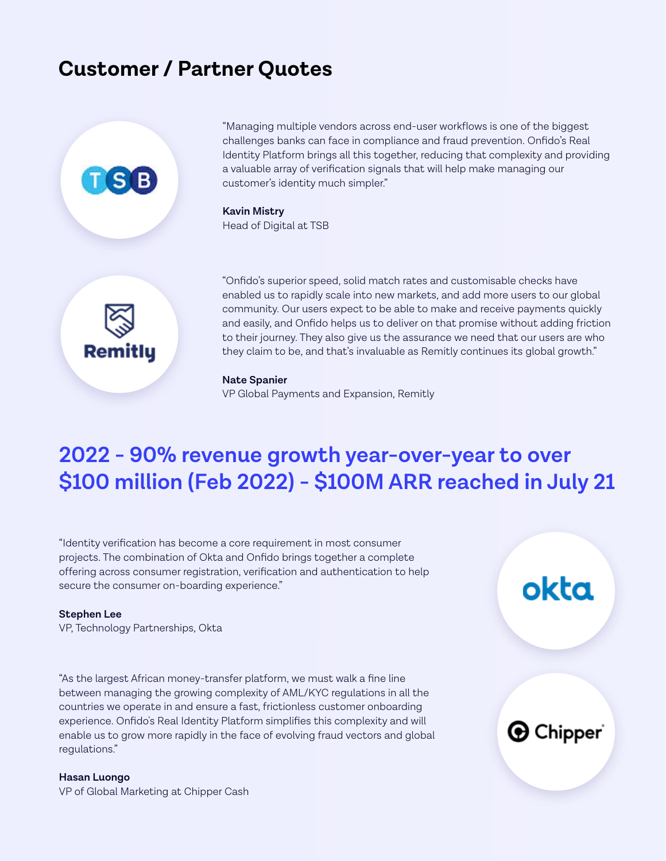### **Customer / Partner Quotes**



"Managing multiple vendors across end-user workflows is one of the biggest challenges banks can face in compliance and fraud prevention. Onfido's Real Identity Platform brings all this together, reducing that complexity and providing a valuable array of verification signals that will help make managing our customer's identity much simpler."

**Kavin Mistry** Head of Digital at TSB



"Onfido's superior speed, solid match rates and customisable checks have enabled us to rapidly scale into new markets, and add more users to our global community. Our users expect to be able to make and receive payments quickly and easily, and Onfido helps us to deliver on that promise without adding friction to their journey. They also give us the assurance we need that our users are who they claim to be, and that's invaluable as Remitly continues its global growth."

#### **Nate Spanier**

VP Global Payments and Expansion, Remitly

### **2022 - 90% revenue growth year-over-year to over \$100 million (Feb 2022) - \$100M ARR reached in July 21**

"Identity verification has become a core requirement in most consumer projects. The combination of Okta and Onfido brings together a complete offering across consumer registration, verification and authentication to help secure the consumer on-boarding experience."

#### **Stephen Lee**

VP, Technology Partnerships, Okta

"As the largest African money-transfer platform, we must walk a fine line between managing the growing complexity of AML/KYC regulations in all the countries we operate in and ensure a fast, frictionless customer onboarding experience. Onfido's Real Identity Platform simplifies this complexity and will enable us to grow more rapidly in the face of evolving fraud vectors and global regulations."

## okta

**O** Chipper

#### **Hasan Luongo**

VP of Global Marketing at Chipper Cash